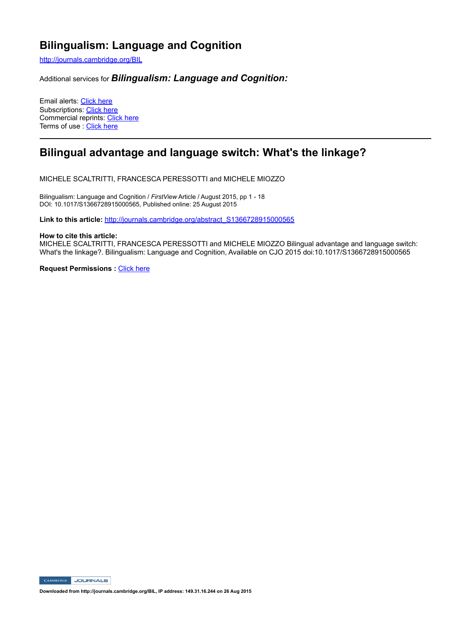# **Bilingualism: Language and Cognition**

http://journals.cambridge.org/BIL

Additional services for *Bilingualism: Language and Cognition:*

Email alerts: Click here Subscriptions: Click here Commercial reprints: Click here Terms of use : Click here

# **Bilingual advantage and language switch: What's the linkage?**

MICHELE SCALTRITTI, FRANCESCA PERESSOTTI and MICHELE MIOZZO

Bilingualism: Language and Cognition / *FirstView* Article / August 2015, pp 1 - 18 DOI: 10.1017/S1366728915000565, Published online: 25 August 2015

**Link to this article:** http://journals.cambridge.org/abstract\_S1366728915000565

#### **How to cite this article:**

MICHELE SCALTRITTI, FRANCESCA PERESSOTTI and MICHELE MIOZZO Bilingual advantage and language switch: What's the linkage?. Bilingualism: Language and Cognition, Available on CJO 2015 doi:10.1017/S1366728915000565

**Request Permissions : Click here** 

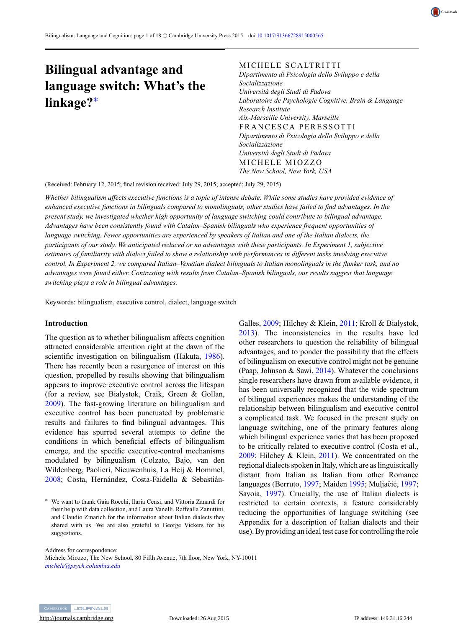

# **Bilingual advantage and language switch: What's the linkage?**<sup>∗</sup>

#### MICHELE SCALTRITTI

*Dipartimento di Psicologia dello Sviluppo e della Socializzazione Università degli Studi di Padova Laboratoire de Psychologie Cognitive, Brain & Language Research Institute Aix-Marseille University, Marseille* FRANCESCA PERESSOTTI *Dipartimento di Psicologia dello Sviluppo e della Socializzazione Università degli Studi di Padova* MICHELE MIOZZO *The New School, New York, USA*

(Received: February 12, 2015; final revision received: July 29, 2015; accepted: July 29, 2015)

*Whether bilingualism affects executive functions is a topic of intense debate. While some studies have provided evidence of enhanced executive functions in bilinguals compared to monolinguals, other studies have failed to find advantages. In the present study, we investigated whether high opportunity of language switching could contribute to bilingual advantage. Advantages have been consistently found with Catalan–Spanish bilinguals who experience frequent opportunities of language switching. Fewer opportunities are experienced by speakers of Italian and one of the Italian dialects, the participants of our study. We anticipated reduced or no advantages with these participants. In Experiment 1, subjective estimates of familiarity with dialect failed to show a relationship with performances in different tasks involving executive control. In Experiment 2, we compared Italian–Venetian dialect bilinguals to Italian monolinguals in the flanker task, and no advantages were found either. Contrasting with results from Catalan–Spanish bilinguals, our results suggest that language switching plays a role in bilingual advantages.*

Keywords: bilingualism, executive control, dialect, language switch

#### **Introduction**

The question as to whether bilingualism affects cognition attracted considerable attention right at the dawn of the scientific investigation on bilingualism (Hakuta, [1986\)](#page-17-0). There has recently been a resurgence of interest on this question, propelled by results showing that bilingualism appears to improve executive control across the lifespan (for a review, see Bialystok, Craik, Green & Gollan, [2009\)](#page-16-0). The fast-growing literature on bilingualism and executive control has been punctuated by problematic results and failures to find bilingual advantages. This evidence has spurred several attempts to define the conditions in which beneficial effects of bilingualism emerge, and the specific executive-control mechanisms modulated by bilingualism (Colzato, Bajo, van den Wildenberg, Paolieri, Nieuwenhuis, La Heij & Hommel, [2008;](#page-16-0) Costa, Hernández, Costa-Faidella & SebastiánGalles, [2009;](#page-16-0) Hilchey & Klein, [2011;](#page-17-0) Kroll & Bialystok, [2013\)](#page-17-0). The inconsistencies in the results have led other researchers to question the reliability of bilingual advantages, and to ponder the possibility that the effects of bilingualism on executive control might not be genuine (Paap, Johnson & Sawi, [2014\)](#page-17-0). Whatever the conclusions single researchers have drawn from available evidence, it has been universally recognized that the wide spectrum of bilingual experiences makes the understanding of the relationship between bilingualism and executive control a complicated task. We focused in the present study on language switching, one of the primary features along which bilingual experience varies that has been proposed to be critically related to executive control (Costa et al., [2009;](#page-16-0) Hilchey & Klein, [2011\)](#page-17-0). We concentrated on the regional dialects spoken in Italy, which are as linguistically distant from Italian as Italian from other Romance languages (Berruto, [1997;](#page-17-0) Maiden [1995;](#page-17-0) Muljačić, 1997; Savoia, [1997\)](#page-18-0). Crucially, the use of Italian dialects is restricted to certain contexts, a feature considerably reducing the opportunities of language switching (see Appendix for a description of Italian dialects and their use). By providing an ideal test case for controlling the role

Address for correspondence: Michele Miozzo, The New School, 80 Fifth Avenue, 7th floor, New York, NY-10011 *[michele@psych.columbia.edu](mailto:michele@psych.columbia.edu)*



<sup>∗</sup> We want to thank Gaia Rocchi, Ilaria Censi, and Vittoria Zanardi for their help with data collection, and Laura Vanelli, Raffealla Zanuttini, and Claudio Zmarich for the information about Italian dialects they shared with us. We are also grateful to George Vickers for his suggestions.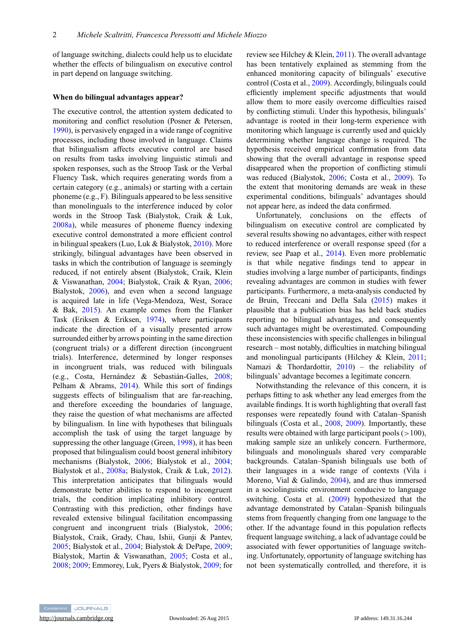of language switching, dialects could help us to elucidate whether the effects of bilingualism on executive control in part depend on language switching.

#### **When do bilingual advantages appear?**

The executive control, the attention system dedicated to monitoring and conflict resolution (Posner & Petersen, [1990\)](#page-17-0), is pervasively engaged in a wide range of cognitive processes, including those involved in language. Claims that bilingualism affects executive control are based on results from tasks involving linguistic stimuli and spoken responses, such as the Stroop Task or the Verbal Fluency Task, which requires generating words from a certain category (e.g., animals) or starting with a certain phoneme (e.g., F). Bilinguals appeared to be less sensitive than monolinguals to the interference induced by color words in the Stroop Task (Bialystok, Craik & Luk, [2008a\)](#page-16-0), while measures of phoneme fluency indexing executive control demonstrated a more efficient control in bilingual speakers (Luo, Luk & Bialystok, [2010\)](#page-17-0). More strikingly, bilingual advantages have been observed in tasks in which the contribution of language is seemingly reduced, if not entirely absent (Bialystok, Craik, Klein & Viswanathan, [2004;](#page-16-0) Bialystok, Craik & Ryan, [2006;](#page-16-0) Bialystok, [2006\)](#page-16-0), and even when a second language is acquired late in life (Vega-Mendoza, West, Sorace & Bak, [2015\)](#page-18-0). An example comes from the Flanker Task (Eriksen & Eriksen, [1974\)](#page-17-0), where participants indicate the direction of a visually presented arrow surrounded either by arrows pointing in the same direction (congruent trials) or a different direction (incongruent trials). Interference, determined by longer responses in incongruent trials, was reduced with bilinguals (e.g., Costa, Hernández & Sebastián-Galles, [2008;](#page-16-0) Pelham & Abrams, [2014\)](#page-17-0). While this sort of findings suggests effects of bilingualism that are far-reaching, and therefore exceeding the boundaries of language, they raise the question of what mechanisms are affected by bilingualism. In line with hypotheses that bilinguals accomplish the task of using the target language by suppressing the other language (Green, [1998\)](#page-17-0), it has been proposed that bilingualism could boost general inhibitory mechanisms (Bialystok, [2006;](#page-16-0) Bialystok et al., [2004;](#page-16-0) Bialystok et al., [2008a;](#page-16-0) Bialystok, Craik & Luk, [2012\)](#page-16-0). This interpretation anticipates that bilinguals would demonstrate better abilities to respond to incongruent trials, the condition implicating inhibitory control. Contrasting with this prediction, other findings have revealed extensive bilingual facilitation encompassing congruent and incongruent trials (Bialystok, [2006;](#page-16-0) Bialystok, Craik, Grady, Chau, Ishii, Gunji & Pantev, [2005;](#page-16-0) Bialystok et al., [2004;](#page-16-0) Bialystok & DePape, [2009;](#page-16-0) Bialystok, Martin & Viswanathan, [2005;](#page-16-0) Costa et al., [2008;](#page-16-0) [2009;](#page-16-0) Emmorey, Luk, Pyers & Bialystok, [2009;](#page-16-0) for review see Hilchey & Klein, [2011\)](#page-17-0). The overall advantage has been tentatively explained as stemming from the enhanced monitoring capacity of bilinguals' executive control (Costa et al., [2009\)](#page-16-0). Accordingly, bilinguals could efficiently implement specific adjustments that would allow them to more easily overcome difficulties raised by conflicting stimuli. Under this hypothesis, bilinguals' advantage is rooted in their long-term experience with monitoring which language is currently used and quickly determining whether language change is required. The hypothesis received empirical confirmation from data showing that the overall advantage in response speed disappeared when the proportion of conflicting stimuli was reduced (Bialystok, [2006;](#page-16-0) Costa et al., [2009\)](#page-16-0). To the extent that monitoring demands are weak in these experimental conditions, bilinguals' advantages should not appear here, as indeed the data confirmed.

Unfortunately, conclusions on the effects of bilingualism on executive control are complicated by several results showing no advantages, either with respect to reduced interference or overall response speed (for a review, see Paap et al., [2014\)](#page-17-0). Even more problematic is that while negative findings tend to appear in studies involving a large number of participants, findings revealing advantages are common in studies with fewer participants. Furthermore, a meta-analysis conducted by de Bruin, Treccani and Della Sala [\(2015\)](#page-16-0) makes it plausible that a publication bias has held back studies reporting no bilingual advantages, and consequently such advantages might be overestimated. Compounding these inconsistencies with specific challenges in bilingual research – most notably, difficulties in matching bilingual and monolingual participants (Hilchey & Klein, [2011;](#page-17-0) Namazi & Thordardottir,  $2010$  – the reliability of bilinguals' advantage becomes a legitimate concern.

Notwithstanding the relevance of this concern, it is perhaps fitting to ask whether any lead emerges from the available findings. It is worth highlighting that overall fast responses were repeatedly found with Catalan–Spanish bilinguals (Costa et al., [2008,](#page-16-0) [2009\)](#page-16-0). Importantly, these results were obtained with large participant pools  $(>100)$ , making sample size an unlikely concern. Furthermore, bilinguals and monolinguals shared very comparable backgrounds. Catalan–Spanish bilinguals use both of their languages in a wide range of contexts (Vila i Moreno, Vial & Galindo, [2004\)](#page-18-0), and are thus immersed in a sociolinguistic environment conducive to language switching. Costa et al. [\(2009\)](#page-16-0) hypothesized that the advantage demonstrated by Catalan–Spanish bilinguals stems from frequently changing from one language to the other. If the advantage found in this population reflects frequent language switching, a lack of advantage could be associated with fewer opportunities of language switching. Unfortunately, opportunity of language switching has not been systematically controlled, and therefore, it is

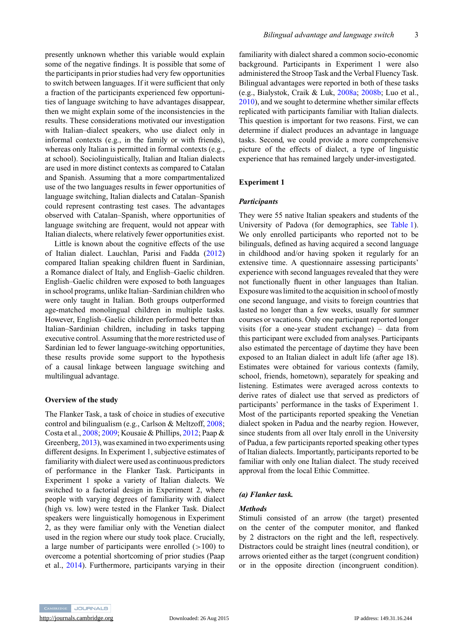presently unknown whether this variable would explain some of the negative findings. It is possible that some of the participants in prior studies had very few opportunities to switch between languages. If it were sufficient that only a fraction of the participants experienced few opportunities of language switching to have advantages disappear, then we might explain some of the inconsistencies in the results. These considerations motivated our investigation with Italian–dialect speakers, who use dialect only in informal contexts (e.g., in the family or with friends), whereas only Italian is permitted in formal contexts (e.g., at school). Sociolinguistically, Italian and Italian dialects are used in more distinct contexts as compared to Catalan and Spanish. Assuming that a more compartmentalized use of the two languages results in fewer opportunities of language switching, Italian dialects and Catalan–Spanish could represent contrasting test cases. The advantages observed with Catalan–Spanish, where opportunities of language switching are frequent, would not appear with Italian dialects, where relatively fewer opportunities exist.

Little is known about the cognitive effects of the use of Italian dialect. Lauchlan, Parisi and Fadda [\(2012\)](#page-17-0) compared Italian speaking children fluent in Sardinian, a Romance dialect of Italy, and English–Gaelic children. English–Gaelic children were exposed to both languages in school programs, unlike Italian–Sardinian children who were only taught in Italian. Both groups outperformed age-matched monolingual children in multiple tasks. However, English–Gaelic children performed better than Italian–Sardinian children, including in tasks tapping executive control. Assuming that the more restricted use of Sardinian led to fewer language-switching opportunities, these results provide some support to the hypothesis of a causal linkage between language switching and multilingual advantage.

#### **Overview of the study**

The Flanker Task, a task of choice in studies of executive control and bilingualism (e.g., Carlson & Meltzoff, [2008;](#page-16-0) Costa et al., [2008;](#page-16-0) [2009;](#page-16-0) Kousaie & Phillips, [2012;](#page-17-0) Paap & Greenberg, [2013\)](#page-17-0), was examined in two experiments using different designs. In Experiment 1, subjective estimates of familiarity with dialect were used as continuous predictors of performance in the Flanker Task. Participants in Experiment 1 spoke a variety of Italian dialects. We switched to a factorial design in Experiment 2, where people with varying degrees of familiarity with dialect (high vs. low) were tested in the Flanker Task. Dialect speakers were linguistically homogenous in Experiment 2, as they were familiar only with the Venetian dialect used in the region where our study took place. Crucially, a large number of participants were enrolled  $(>100)$  to overcome a potential shortcoming of prior studies (Paap et al., [2014\)](#page-17-0). Furthermore, participants varying in their familiarity with dialect shared a common socio-economic background. Participants in Experiment 1 were also administered the Stroop Task and the Verbal Fluency Task. Bilingual advantages were reported in both of these tasks (e.g., Bialystok, Craik & Luk, [2008a;](#page-16-0) [2008b;](#page-16-0) Luo et al., [2010\)](#page-17-0), and we sought to determine whether similar effects replicated with participants familiar with Italian dialects. This question is important for two reasons. First, we can determine if dialect produces an advantage in language tasks. Second, we could provide a more comprehensive picture of the effects of dialect, a type of linguistic experience that has remained largely under-investigated.

# **Experiment 1**

# *Participants*

They were 55 native Italian speakers and students of the University of Padova (for demographics, see [Table 1\)](#page-4-0). We only enrolled participants who reported not to be bilinguals, defined as having acquired a second language in childhood and/or having spoken it regularly for an extensive time. A questionnaire assessing participants' experience with second languages revealed that they were not functionally fluent in other languages than Italian. Exposure was limited to the acquisition in school of mostly one second language, and visits to foreign countries that lasted no longer than a few weeks, usually for summer courses or vacations. Only one participant reported longer visits (for a one-year student exchange) – data from this participant were excluded from analyses. Participants also estimated the percentage of daytime they have been exposed to an Italian dialect in adult life (after age 18). Estimates were obtained for various contexts (family, school, friends, hometown), separately for speaking and listening. Estimates were averaged across contexts to derive rates of dialect use that served as predictors of participants' performance in the tasks of Experiment 1. Most of the participants reported speaking the Venetian dialect spoken in Padua and the nearby region. However, since students from all over Italy enroll in the University of Padua, a few participants reported speaking other types of Italian dialects. Importantly, participants reported to be familiar with only one Italian dialect. The study received approval from the local Ethic Committee.

#### *(a) Flanker task.*

#### *Methods*

Stimuli consisted of an arrow (the target) presented on the center of the computer monitor, and flanked by 2 distractors on the right and the left, respectively. Distractors could be straight lines (neutral condition), or arrows oriented either as the target (congruent condition) or in the opposite direction (incongruent condition).

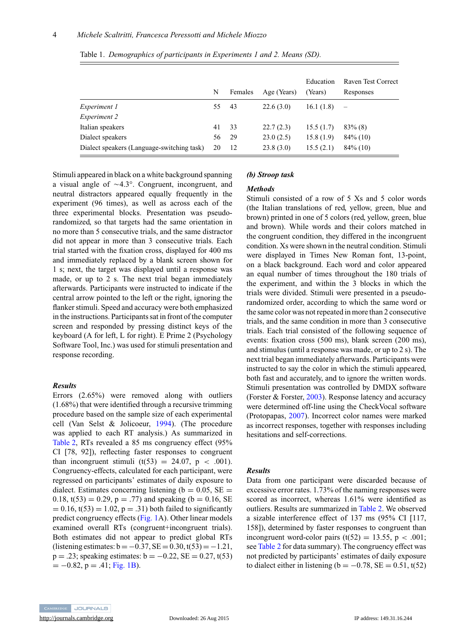|                                            | N  | Females | Age (Years) | Education<br>(Years) | Raven Test Correct<br>Responses |
|--------------------------------------------|----|---------|-------------|----------------------|---------------------------------|
| <i>Experiment 1</i>                        | 55 | 43      | 22.6(3.0)   | 16.1(1.8)            | $\overline{\phantom{a}}$        |
| <i>Experiment 2</i>                        |    |         |             |                      |                                 |
| Italian speakers                           | 41 | 33      | 22.7(2.3)   | 15.5(1.7)            | $83\%$ (8)                      |
| Dialect speakers                           | 56 | 29      | 23.0(2.5)   | 15.8(1.9)            | $84\%$ (10)                     |
| Dialect speakers (Language-switching task) | 20 | 12      | 23.8(3.0)   | 15.5(2.1)            | $84\%$ (10)                     |

<span id="page-4-0"></span>Table 1. *Demographics of participants in Experiments 1 and 2. Means (SD).*

Stimuli appeared in black on a white background spanning a visual angle of  $\sim$ 4.3°. Congruent, incongruent, and neutral distractors appeared equally frequently in the experiment (96 times), as well as across each of the three experimental blocks. Presentation was pseudorandomized, so that targets had the same orientation in no more than 5 consecutive trials, and the same distractor did not appear in more than 3 consecutive trials. Each trial started with the fixation cross, displayed for 400 ms and immediately replaced by a blank screen shown for 1 s; next, the target was displayed until a response was made, or up to 2 s. The next trial began immediately afterwards. Participants were instructed to indicate if the central arrow pointed to the left or the right, ignoring the flanker stimuli. Speed and accuracy were both emphasized in the instructions. Participants sat in front of the computer screen and responded by pressing distinct keys of the keyboard (A for left, L for right). E Prime 2 (Psychology Software Tool, Inc.) was used for stimuli presentation and response recording.

#### *Results*

Errors (2.65%) were removed along with outliers (1.68%) that were identified through a recursive trimming procedure based on the sample size of each experimental cell (Van Selst & Jolicoeur, [1994\)](#page-18-0). (The procedure was applied to each RT analysis.) As summarized in [Table 2,](#page-5-0) RTs revealed a 85 ms congruency effect (95% CI [78, 92]), reflecting faster responses to congruent than incongruent stimuli (t(53) = 24.07,  $p \lt 0.001$ ). Congruency-effects, calculated for each participant, were regressed on participants' estimates of daily exposure to dialect. Estimates concerning listening ( $b = 0.05$ , SE = 0.18,  $t(53) = 0.29$ ,  $p = .77$ ) and speaking (b = 0.16, SE  $= 0.16$ , t(53)  $= 1.02$ ,  $p = .31$ ) both failed to significantly predict congruency effects [\(Fig. 1A](#page-5-0)). Other linear models examined overall RTs (congruent+incongruent trials). Both estimates did not appear to predict global RTs (listening estimates:  $b = -0.37$ ,  $SE = 0.30$ ,  $t(53) = -1.21$ ,  $p = .23$ ; speaking estimates:  $b = -0.22$ ,  $SE = 0.27$ ,  $t(53)$  $= -0.82$ ,  $p = .41$ ; [Fig. 1B\)](#page-5-0).

#### *(b) Stroop task*

# *Methods*

Stimuli consisted of a row of 5 Xs and 5 color words (the Italian translations of red, yellow, green, blue and brown) printed in one of 5 colors (red, yellow, green, blue and brown). While words and their colors matched in the congruent condition, they differed in the incongruent condition. Xs were shown in the neutral condition. Stimuli were displayed in Times New Roman font, 13-point, on a black background. Each word and color appeared an equal number of times throughout the 180 trials of the experiment, and within the 3 blocks in which the trials were divided. Stimuli were presented in a pseudorandomized order, according to which the same word or the same color was not repeated in more than 2 consecutive trials, and the same condition in more than 3 consecutive trials. Each trial consisted of the following sequence of events: fixation cross (500 ms), blank screen (200 ms), and stimulus (until a response was made, or up to 2 s). The next trial began immediately afterwards. Participants were instructed to say the color in which the stimuli appeared, both fast and accurately, and to ignore the written words. Stimuli presentation was controlled by DMDX software (Forster & Forster, [2003\)](#page-17-0). Response latency and accuracy were determined off-line using the CheckVocal software (Protopapas, [2007\)](#page-17-0). Incorrect color names were marked as incorrect responses, together with responses including hesitations and self-corrections.

## *Results*

Data from one participant were discarded because of excessive error rates. 1.73% of the naming responses were scored as incorrect, whereas 1.61% were identified as outliers. Results are summarized in [Table 2.](#page-5-0) We observed a sizable interference effect of 137 ms (95% CI [117, 158]), determined by faster responses to congruent than incongruent word-color pairs  $(t(52) = 13.55, p < .001;$ see [Table 2](#page-5-0) for data summary). The congruency effect was not predicted by participants' estimates of daily exposure to dialect either in listening ( $b = -0.78$ , SE = 0.51, t(52)

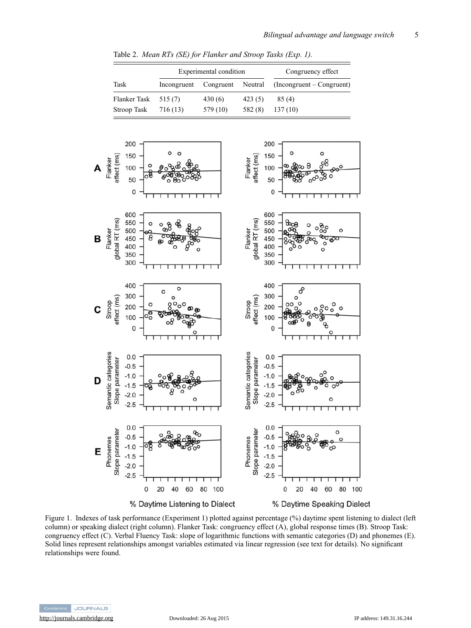Table 2. *Mean RTs (SE) for Flanker and Stroop Tasks (Exp. 1).*

<span id="page-5-0"></span>

Figure 1. Indexes of task performance (Experiment 1) plotted against percentage (%) daytime spent listening to dialect (left column) or speaking dialect (right column). Flanker Task: congruency effect (A), global response times (B). Stroop Task: congruency effect (C). Verbal Fluency Task: slope of logarithmic functions with semantic categories (D) and phonemes (E). Solid lines represent relationships amongst variables estimated via linear regression (see text for details). No significant relationships were found.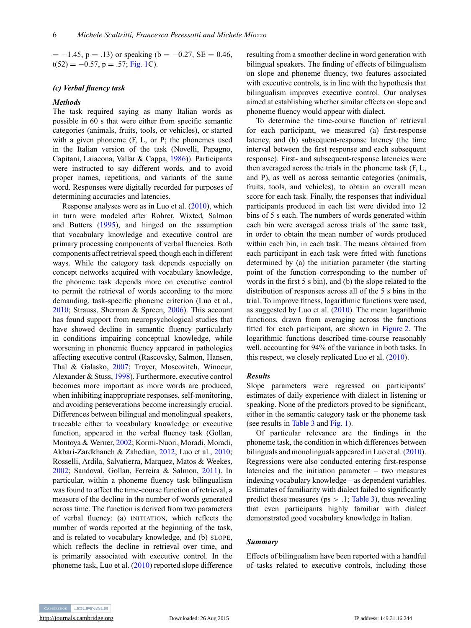$= -1.45$ , p = .13) or speaking (b = -0.27, SE = 0.46,  $t(52) = -0.57$ , p = .57; [Fig. 1C](#page-5-0)).

#### *(c) Verbal fluency task*

#### *Methods*

The task required saying as many Italian words as possible in 60 s that were either from specific semantic categories (animals, fruits, tools, or vehicles), or started with a given phoneme (F, L, or P; the phonemes used in the Italian version of the task (Novelli, Papagno, Capitani, Laiacona, Vallar & Cappa, [1986\)](#page-17-0)). Participants were instructed to say different words, and to avoid proper names, repetitions, and variants of the same word. Responses were digitally recorded for purposes of determining accuracies and latencies.

Response analyses were as in Luo et al. [\(2010\)](#page-17-0), which in turn were modeled after Rohrer, Wixted, Salmon and Butters [\(1995\)](#page-17-0), and hinged on the assumption that vocabulary knowledge and executive control are primary processing components of verbal fluencies. Both components affect retrieval speed, though each in different ways. While the category task depends especially on concept networks acquired with vocabulary knowledge, the phoneme task depends more on executive control to permit the retrieval of words according to the more demanding, task-specific phoneme criterion (Luo et al., [2010;](#page-17-0) Strauss, Sherman & Spreen, [2006\)](#page-18-0). This account has found support from neuropsychological studies that have showed decline in semantic fluency particularly in conditions impairing conceptual knowledge, while worsening in phonemic fluency appeared in pathologies affecting executive control (Rascovsky, Salmon, Hansen, Thal & Galasko, [2007;](#page-17-0) Troyer, Moscovitch, Winocur, Alexander & Stuss, [1998\)](#page-18-0). Furthermore, executive control becomes more important as more words are produced, when inhibiting inappropriate responses, self-monitoring, and avoiding perseverations become increasingly crucial. Differences between bilingual and monolingual speakers, traceable either to vocabulary knowledge or executive function, appeared in the verbal fluency task (Gollan, Montoya & Werner, [2002;](#page-17-0) Kormi-Nuori, Moradi, Moradi, Akbari-Zardkhaneh & Zahedian, [2012;](#page-17-0) Luo et al., [2010;](#page-17-0) Rosselli, Ardila, Salvatierra, Marquez, Matos & Weekes, [2002;](#page-17-0) Sandoval, Gollan, Ferreira & Salmon, [2011\)](#page-18-0). In particular, within a phoneme fluency task bilingualism was found to affect the time-course function of retrieval, a measure of the decline in the number of words generated across time. The function is derived from two parameters of verbal fluency: (a) INITIATION*,* which reflects the number of words reported at the beginning of the task, and is related to vocabulary knowledge, and (b) SLOPE, which reflects the decline in retrieval over time, and is primarily associated with executive control. In the phoneme task, Luo et al. [\(2010\)](#page-17-0) reported slope difference resulting from a smoother decline in word generation with bilingual speakers. The finding of effects of bilingualism on slope and phoneme fluency, two features associated with executive controls, is in line with the hypothesis that bilingualism improves executive control. Our analyses aimed at establishing whether similar effects on slope and phoneme fluency would appear with dialect.

To determine the time-course function of retrieval for each participant, we measured (a) first-response latency, and (b) subsequent-response latency (the time interval between the first response and each subsequent response). First- and subsequent-response latencies were then averaged across the trials in the phoneme task (F, L, and P), as well as across semantic categories (animals, fruits, tools, and vehicles), to obtain an overall mean score for each task. Finally, the responses that individual participants produced in each list were divided into 12 bins of 5 s each. The numbers of words generated within each bin were averaged across trials of the same task, in order to obtain the mean number of words produced within each bin, in each task. The means obtained from each participant in each task were fitted with functions determined by (a) the initiation parameter (the starting point of the function corresponding to the number of words in the first 5 s bin), and (b) the slope related to the distribution of responses across all of the 5 s bins in the trial. To improve fitness, logarithmic functions were used, as suggested by Luo et al. [\(2010\)](#page-17-0). The mean logarithmic functions, drawn from averaging across the functions fitted for each participant, are shown in [Figure 2.](#page-7-0) The logarithmic functions described time-course reasonably well, accounting for 94% of the variance in both tasks. In this respect, we closely replicated Luo et al.  $(2010)$ .

#### *Results*

Slope parameters were regressed on participants' estimates of daily experience with dialect in listening or speaking. None of the predictors proved to be significant, either in the semantic category task or the phoneme task (see results in [Table 3](#page-7-0) and [Fig. 1\)](#page-5-0).

Of particular relevance are the findings in the phoneme task, the condition in which differences between bilinguals and monolinguals appeared in Luo et al. [\(2010\)](#page-17-0). Regressions were also conducted entering first-response latencies and the initiation parameter – two measures indexing vocabulary knowledge – as dependent variables. Estimates of familiarity with dialect failed to significantly predict these measures ( $ps > .1$ ; [Table 3\)](#page-7-0), thus revealing that even participants highly familiar with dialect demonstrated good vocabulary knowledge in Italian.

# *Summary*

Effects of bilingualism have been reported with a handful of tasks related to executive controls, including those

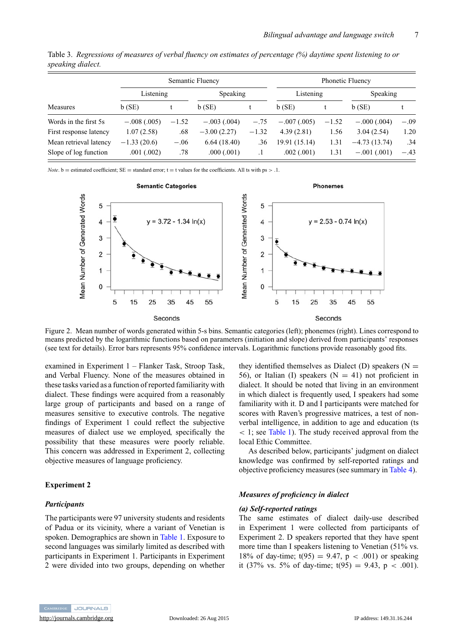|                        | Semantic Fluency |         |               |           | <b>Phonetic Fluency</b> |         |                |        |
|------------------------|------------------|---------|---------------|-----------|-------------------------|---------|----------------|--------|
|                        | Listening        |         | Speaking      |           | Listening               |         | Speaking       |        |
| Measures               | $b$ (SE)         |         | $b$ (SE)      |           | b(SE)                   |         | b(SE)          |        |
| Words in the first 5s  | $-.008(.005)$    | $-1.52$ | $-.003(.004)$ | $-.75$    | $-.007(.005)$           | $-1.52$ | $-.000(.004)$  | $-.09$ |
| First response latency | 1.07(2.58)       | .68     | $-3.00(2.27)$ | $-1.32$   | 4.39(2.81)              | 1.56    | 3.04(2.54)     | 1.20   |
| Mean retrieval latency | $-1.33(20.6)$    | $-.06$  | 6.64(18.40)   | .36       | 19.91 (15.14)           | 1.31    | $-4.73(13.74)$ | .34    |
| Slope of log function  | .001(.002)       | .78     | .000(.001)    | $\cdot$ 1 | .002(.001)              | 1.31    | $-.001(.001)$  | $-.43$ |

<span id="page-7-0"></span>Table 3. *Regressions of measures of verbal fluency on estimates of percentage (%) daytime spent listening to or speaking dialect.*

*Note*.  $b =$  estimated coefficient;  $SE =$  standard error;  $t =$  t values for the coefficients. All ts with  $ps > 0.1$ .



Figure 2. Mean number of words generated within 5-s bins. Semantic categories (left); phonemes (right). Lines correspond to means predicted by the logarithmic functions based on parameters (initiation and slope) derived from participants' responses (see text for details). Error bars represents 95% confidence intervals. Logarithmic functions provide reasonably good fits.

examined in Experiment 1 – Flanker Task, Stroop Task, and Verbal Fluency. None of the measures obtained in these tasks varied as a function of reported familiarity with dialect. These findings were acquired from a reasonably large group of participants and based on a range of measures sensitive to executive controls. The negative findings of Experiment 1 could reflect the subjective measures of dialect use we employed, specifically the possibility that these measures were poorly reliable. This concern was addressed in Experiment 2, collecting objective measures of language proficiency.

#### **Experiment 2**

#### *Participants*

The participants were 97 university students and residents of Padua or its vicinity, where a variant of Venetian is spoken. Demographics are shown in [Table 1.](#page-4-0) Exposure to second languages was similarly limited as described with participants in Experiment 1. Participants in Experiment 2 were divided into two groups, depending on whether they identified themselves as Dialect (D) speakers ( $N =$ 56), or Italian (I) speakers  $(N = 41)$  not proficient in dialect. It should be noted that living in an environment in which dialect is frequently used, I speakers had some familiarity with it. D and I participants were matched for scores with Raven's progressive matrices, a test of nonverbal intelligence, in addition to age and education (ts < 1; see [Table 1\)](#page-4-0). The study received approval from the local Ethic Committee.

As described below, participants' judgment on dialect knowledge was confirmed by self-reported ratings and objective proficiency measures (see summary in [Table 4\)](#page-8-0).

#### *Measures of proficiency in dialect*

#### *(a) Self-reported ratings*

The same estimates of dialect daily-use described in Experiment 1 were collected from participants of Experiment 2. D speakers reported that they have spent more time than I speakers listening to Venetian (51% vs. 18% of day-time;  $t(95) = 9.47$ ,  $p < .001$ ) or speaking it (37% vs. 5% of day-time;  $t(95) = 9.43$ , p < .001).

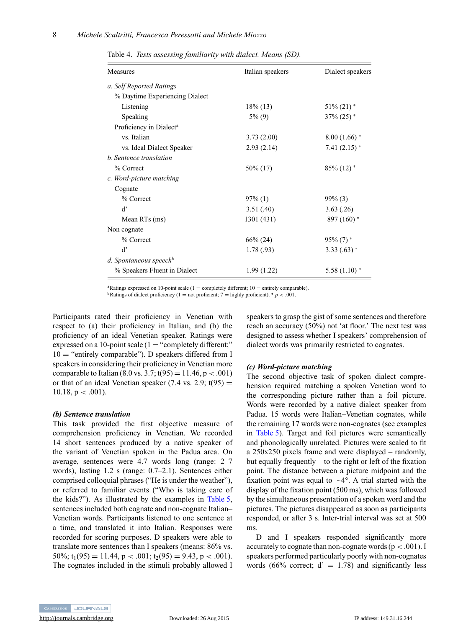<span id="page-8-0"></span>Table 4. *Tests assessing familiarity with dialect. Means (SD).*

| Measures                            | Italian speakers | Dialect speakers           |  |
|-------------------------------------|------------------|----------------------------|--|
| a. Self Reported Ratings            |                  |                            |  |
| % Daytime Experiencing Dialect      |                  |                            |  |
| Listening                           | $18\%$ (13)      | $51\%$ (21) $*$            |  |
| Speaking                            | $5\%$ (9)        | $37\%$ (25) $*$            |  |
| Proficiency in Dialect <sup>a</sup> |                  |                            |  |
| vs. Italian                         | 3.73(2.00)       | $8.00(1.66)$ *             |  |
| vs. Ideal Dialect Speaker           | 2.93(2.14)       | 7.41 $(2.15)$ <sup>*</sup> |  |
| b. Sentence translation             |                  |                            |  |
| % Correct                           | 50\% (17)        | $85\%$ (12) <sup>*</sup>   |  |
| c. Word-picture matching            |                  |                            |  |
| Cognate                             |                  |                            |  |
| % Correct                           | $97\%$ (1)       | $99\%$ (3)                 |  |
| $\mathbf{d}$                        | 3.51(0.40)       | 3.63(.26)                  |  |
| Mean RTs (ms)                       | 1301 (431)       | $897(160)$ *               |  |
| Non cognate                         |                  |                            |  |
| % Correct                           | $66\% (24)$      | $95\%$ (7) <sup>*</sup>    |  |
| d'                                  | 1.78(.93)        | $3.33(.63)$ *              |  |
| d. Spontaneous speech <sup>b</sup>  |                  |                            |  |
| % Speakers Fluent in Dialect        | 1.99(1.22)       | $5.58(1.10)$ *             |  |

<sup>a</sup>Ratings expressed on 10-point scale (1 = completely different; 10 = entirely comparable). <sup>**∗**</sup> *p* < .001.

Participants rated their proficiency in Venetian with respect to (a) their proficiency in Italian, and (b) the proficiency of an ideal Venetian speaker. Ratings were expressed on a 10-point scale  $(1 = "completely different;"$  $10 =$  "entirely comparable"). D speakers differed from I speakers in considering their proficiency in Venetian more comparable to Italian (8.0 vs. 3.7;  $t(95) = 11.46$ ,  $p < .001$ ) or that of an ideal Venetian speaker  $(7.4 \text{ vs. } 2.9; t(95))$  = 10.18,  $p < .001$ ).

#### *(b) Sentence translation*

This task provided the first objective measure of comprehension proficiency in Venetian. We recorded 14 short sentences produced by a native speaker of the variant of Venetian spoken in the Padua area. On average, sentences were 4.7 words long (range: 2–7 words), lasting 1.2 s (range: 0.7–2.1). Sentences either comprised colloquial phrases ("He is under the weather"), or referred to familiar events ("Who is taking care of the kids?"). As illustrated by the examples in [Table 5,](#page-9-0) sentences included both cognate and non-cognate Italian– Venetian words. Participants listened to one sentence at a time, and translated it into Italian. Responses were recorded for scoring purposes. D speakers were able to translate more sentences than I speakers (means: 86% vs.  $50\%$ ;  $t_1(95) = 11.44$ ,  $p < .001$ ;  $t_2(95) = 9.43$ ,  $p < .001$ ). The cognates included in the stimuli probably allowed I

speakers to grasp the gist of some sentences and therefore reach an accuracy (50%) not 'at floor.' The next test was designed to assess whether I speakers' comprehension of dialect words was primarily restricted to cognates.

# *(c) Word-picture matching*

The second objective task of spoken dialect comprehension required matching a spoken Venetian word to the corresponding picture rather than a foil picture. Words were recorded by a native dialect speaker from Padua. 15 words were Italian–Venetian cognates, while the remaining 17 words were non-cognates (see examples in [Table 5\)](#page-9-0). Target and foil pictures were semantically and phonologically unrelated. Pictures were scaled to fit a 250x250 pixels frame and were displayed – randomly, but equally frequently – to the right or left of the fixation point. The distance between a picture midpoint and the fixation point was equal to  $\sim$  4°. A trial started with the display of the fixation point (500 ms), which was followed by the simultaneous presentation of a spoken word and the pictures. The pictures disappeared as soon as participants responded, or after 3 s. Inter-trial interval was set at 500 ms.

D and I speakers responded significantly more accurately to cognate than non-cognate words ( $p < .001$ ). I speakers performed particularly poorly with non-cognates words (66% correct;  $d' = 1.78$ ) and significantly less

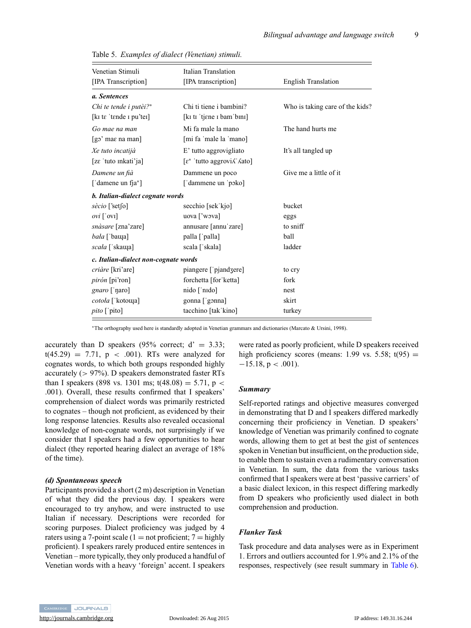| Venetian Stimuli                     | Italian Translation                            |                                 |
|--------------------------------------|------------------------------------------------|---------------------------------|
| [IPA Transcription]                  | [IPA transcription]                            | <b>English Translation</b>      |
| a. Sentences                         |                                                |                                 |
| Chi te tende i putèi?*               | Chi ti tiene i bambini?                        | Who is taking care of the kids? |
| [kɪ tɛ 'tɛnde ɪ pu'teɪ]              | [kɪ tɪ 'tjɛne ɪ bam'bɪnɪ]                      |                                 |
| Go mae na man                        | Mi fa male la mano                             | The hand hurts me               |
| $\lceil$ go' mae na man $\rceil$     | [mi fa 'male la 'mano]                         |                                 |
| Xe tuto incatijà                     | E' tutto aggrovigliato                         | It's all tangled up             |
| [zε 'tuto mkati'ja]                  | $[\epsilon^*$ 'tutto aggrovi $\Lambda$ ' Aato] |                                 |
| Damene un fià                        | Dammene un poco                                | Give me a little of it          |
| ['damene un fja*]                    | ['dammene un 'poko]                            |                                 |
| b. Italian-dialect cognate words     |                                                |                                 |
| $s\grave{e}cio$ ['set[o]             | secchio [sek'kjo]                              | bucket                          |
| $ovi$ [' $ovi$ ]                     | uova ['wova]                                   | eggs                            |
| snàsare [zna'zare]                   | annusare [annu'zare]                           | to sniff                        |
| <i>bała</i> ['bauqa]                 | palla ['palla]                                 | ball                            |
| <i>scała</i> ['skauja]               | scala ['skala]                                 | ladder                          |
| c. Italian-dialect non-cognate words |                                                |                                 |
| criàre [kri'are]                     | piangere ['pjandʒere]                          | to cry                          |
| <i>pirón</i> [pi'ron]                | forchetta [for ketta]                          | fork                            |
| gnaro ['ŋaro]                        | nido ['nɪdo]                                   | nest                            |
| cotoła ['kotouqa]                    | gonna ['gonna]                                 | skirt                           |
| <i>pito</i> ['pito]                  | tacchino [takˈkino]                            | turkey                          |

<span id="page-9-0"></span>Table 5. *Examples of dialect (Venetian) stimuli.*

∗The orthography used here is standardly adopted in Venetian grammars and dictionaries (Marcato & Ursini, 1998).

accurately than D speakers (95% correct;  $d' = 3.33$ ;  $t(45.29) = 7.71$ ,  $p < .001$ ). RTs were analyzed for cognates words, to which both groups responded highly accurately (> 97%). D speakers demonstrated faster RTs than I speakers (898 vs. 1301 ms;  $t(48.08) = 5.71$ , p < .001). Overall, these results confirmed that I speakers' comprehension of dialect words was primarily restricted to cognates – though not proficient, as evidenced by their long response latencies. Results also revealed occasional knowledge of non-cognate words, not surprisingly if we consider that I speakers had a few opportunities to hear dialect (they reported hearing dialect an average of 18% of the time).

#### *(d) Spontaneous speech*

Participants provided a short (2 m) description in Venetian of what they did the previous day. I speakers were encouraged to try anyhow, and were instructed to use Italian if necessary. Descriptions were recorded for scoring purposes. Dialect proficiency was judged by 4 raters using a 7-point scale (1 = not proficient;  $7 =$  highly proficient). I speakers rarely produced entire sentences in Venetian – more typically, they only produced a handful of Venetian words with a heavy 'foreign' accent. I speakers were rated as poorly proficient, while D speakers received high proficiency scores (means: 1.99 vs. 5.58;  $t(95)$  =  $-15.18$ , p < .001).

#### *Summary*

Self-reported ratings and objective measures converged in demonstrating that D and I speakers differed markedly concerning their proficiency in Venetian. D speakers' knowledge of Venetian was primarily confined to cognate words, allowing them to get at best the gist of sentences spoken in Venetian but insufficient, on the production side, to enable them to sustain even a rudimentary conversation in Venetian. In sum, the data from the various tasks confirmed that I speakers were at best 'passive carriers' of a basic dialect lexicon, in this respect differing markedly from D speakers who proficiently used dialect in both comprehension and production.

#### *Flanker Task*

Task procedure and data analyses were as in Experiment 1. Errors and outliers accounted for 1.9% and 2.1% of the responses, respectively (see result summary in [Table 6\)](#page-10-0).

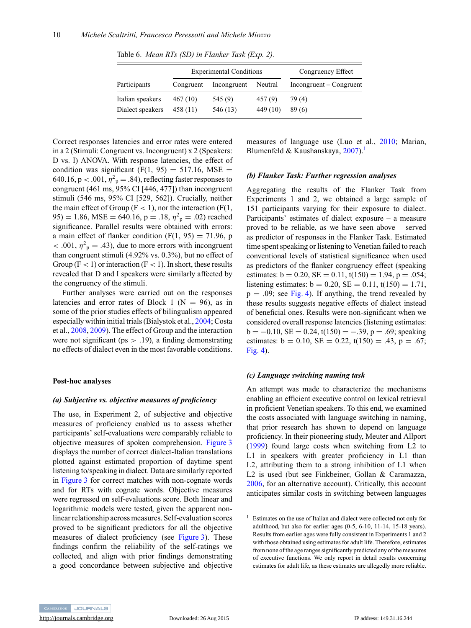|                  | <b>Experimental Conditions</b> |             |          | Congruency Effect         |  |
|------------------|--------------------------------|-------------|----------|---------------------------|--|
| Participants     | Congruent                      | Incongruent | Neutral  | $Incongruent - Congruent$ |  |
| Italian speakers | 467 (10)                       | 545 (9)     | 457(9)   | 79 (4)                    |  |
| Dialect speakers | 458 (11)                       | 546 (13)    | 449 (10) | 89(6)                     |  |

<span id="page-10-0"></span>Table 6. *Mean RTs (SD) in Flanker Task (Exp. 2).*

Correct responses latencies and error rates were entered in a 2 (Stimuli: Congruent vs. Incongruent) x 2 (Speakers: D vs. I) ANOVA. With response latencies, the effect of condition was significant  $(F(1, 95) = 517.16, MSE =$ 640.16,  $p < .001$ ,  $\eta^2 p = .84$ ), reflecting faster responses to congruent (461 ms, 95% CI [446, 477]) than incongruent stimuli (546 ms, 95% CI [529, 562]). Crucially, neither the main effect of Group ( $F < 1$ ), nor the interaction ( $F(1,$ 95) = 1.86, MSE = 640.16, p = .18,  $\eta^2$ <sub>p</sub> = .02) reached significance. Parallel results were obtained with errors: a main effect of flanker condition  $(F(1, 95) = 71.96, p$  $< .001, \eta^2$ <sub>p</sub> = .43), due to more errors with incongruent than congruent stimuli (4.92% vs. 0.3%), but no effect of Group ( $F < 1$ ) or interaction ( $F < 1$ ). In short, these results revealed that D and I speakers were similarly affected by the congruency of the stimuli.

Further analyses were carried out on the responses latencies and error rates of Block 1 ( $N = 96$ ), as in some of the prior studies effects of bilingualism appeared especially within initial trials (Bialystok et al., [2004;](#page-16-0) Costa et al., [2008,](#page-16-0) [2009\)](#page-16-0). The effect of Group and the interaction were not significant ( $ps > .19$ ), a finding demonstrating no effects of dialect even in the most favorable conditions.

#### **Post-hoc analyses**

#### *(a) Subjective vs. objective measures of proficiency*

The use, in Experiment 2, of subjective and objective measures of proficiency enabled us to assess whether participants' self-evaluations were comparably reliable to objective measures of spoken comprehension. [Figure 3](#page-11-0) displays the number of correct dialect-Italian translations plotted against estimated proportion of daytime spent listening to/speaking in dialect. Data are similarly reported in [Figure 3](#page-11-0) for correct matches with non-cognate words and for RTs with cognate words. Objective measures were regressed on self-evaluations score. Both linear and logarithmic models were tested, given the apparent nonlinear relationship across measures. Self-evaluation scores proved to be significant predictors for all the objective measures of dialect proficiency (see [Figure 3\)](#page-11-0). These findings confirm the reliability of the self-ratings we collected, and align with prior findings demonstrating a good concordance between subjective and objective measures of language use (Luo et al., [2010;](#page-17-0) Marian, Blumenfeld & Kaushanskaya, [2007\)](#page-17-0).<sup>1</sup>

#### *(b) Flanker Task: Further regression analyses*

Aggregating the results of the Flanker Task from Experiments 1 and 2, we obtained a large sample of 151 participants varying for their exposure to dialect. Participants' estimates of dialect exposure – a measure proved to be reliable, as we have seen above – served as predictor of responses in the Flanker Task. Estimated time spent speaking or listening to Venetian failed to reach conventional levels of statistical significance when used as predictors of the flanker congruency effect (speaking estimates:  $b = 0.20$ ,  $SE = 0.11$ ,  $t(150) = 1.94$ ,  $p = .054$ ; listening estimates:  $b = 0.20$ ,  $SE = 0.11$ ,  $t(150) = 1.71$ ,  $p = .09$ ; see [Fig. 4\)](#page-12-0). If anything, the trend revealed by these results suggests negative effects of dialect instead of beneficial ones. Results were non-significant when we considered overall response latencies (listening estimates:  $b = -0.10$ , SE = 0.24, t(150) = -.39, p = .69; speaking estimates:  $b = 0.10$ ,  $SE = 0.22$ ,  $t(150) = .43$ ,  $p = .67$ ; [Fig. 4\)](#page-12-0).

#### *(c) Language switching naming task*

An attempt was made to characterize the mechanisms enabling an efficient executive control on lexical retrieval in proficient Venetian speakers. To this end, we examined the costs associated with language switching in naming, that prior research has shown to depend on language proficiency. In their pioneering study, Meuter and Allport [\(1999\)](#page-17-0) found large costs when switching from L2 to L1 in speakers with greater proficiency in L1 than L2, attributing them to a strong inhibition of L1 when L2 is used (but see Finkbeiner, Gollan & Caramazza, [2006,](#page-17-0) for an alternative account). Critically, this account anticipates similar costs in switching between languages



<sup>&</sup>lt;sup>1</sup> Estimates on the use of Italian and dialect were collected not only for adulthood, but also for earlier ages (0-5, 6-10, 11-14, 15-18 years). Results from earlier ages were fully consistent in Experiments 1 and 2 with those obtained using estimates for adult life. Therefore, estimates from none of the age ranges significantly predicted any of the measures of executive functions. We only report in detail results concerning estimates for adult life, as these estimates are allegedly more reliable.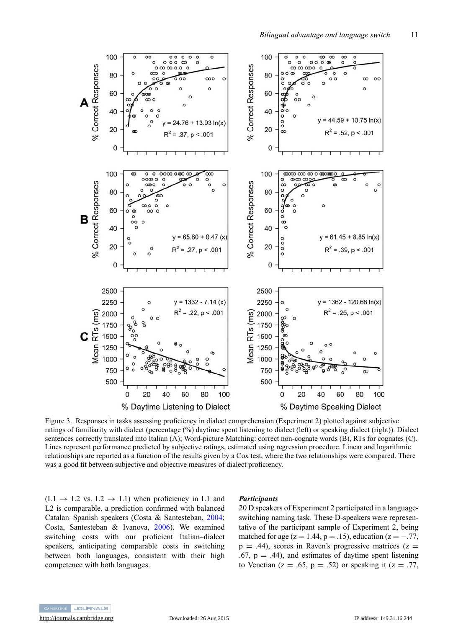<span id="page-11-0"></span>

Figure 3. Responses in tasks assessing proficiency in dialect comprehension (Experiment 2) plotted against subjective ratings of familiarity with dialect (percentage (%) daytime spent listening to dialect (left) or speaking dialect (right)). Dialect sentences correctly translated into Italian (A); Word-picture Matching: correct non-cognate words (B), RTs for cognates (C). Lines represent performance predicted by subjective ratings, estimated using regression procedure. Linear and logarithmic relationships are reported as a function of the results given by a Cox test, where the two relationships were compared. There was a good fit between subjective and objective measures of dialect proficiency.

 $(L1 \rightarrow L2 \text{ vs. } L2 \rightarrow L1)$  when proficiency in L1 and L2 is comparable, a prediction confirmed with balanced Catalan–Spanish speakers (Costa & Santesteban, [2004;](#page-16-0) Costa, Santesteban & Ivanova, [2006\)](#page-16-0). We examined switching costs with our proficient Italian–dialect speakers, anticipating comparable costs in switching between both languages, consistent with their high competence with both languages.

#### *Participants*

20 D speakers of Experiment 2 participated in a languageswitching naming task. These D-speakers were representative of the participant sample of Experiment 2, being matched for age ( $z = 1.44$ ,  $p = .15$ ), education ( $z = -.77$ ,  $p = .44$ ), scores in Raven's progressive matrices ( $z =$  $.67, p = .44$ ), and estimates of daytime spent listening to Venetian ( $z = .65$ ,  $p = .52$ ) or speaking it ( $z = .77$ ,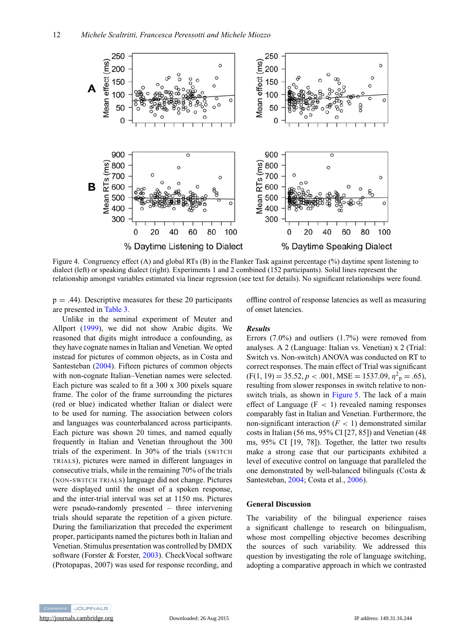<span id="page-12-0"></span>

Figure 4. Congruency effect (A) and global RTs (B) in the Flanker Task against percentage (%) daytime spent listening to dialect (left) or speaking dialect (right). Experiments 1 and 2 combined (152 participants). Solid lines represent the relationship amongst variables estimated via linear regression (see text for details). No significant relationships were found.

 $p = .44$ ). Descriptive measures for these 20 participants are presented in [Table 3.](#page-7-0)

Unlike in the seminal experiment of Meuter and Allport [\(1999\)](#page-17-0), we did not show Arabic digits. We reasoned that digits might introduce a confounding, as they have cognate names in Italian and Venetian. We opted instead for pictures of common objects, as in Costa and Santesteban [\(2004\)](#page-16-0). Fifteen pictures of common objects with non-cognate Italian–Venetian names were selected. Each picture was scaled to fit a 300 x 300 pixels square frame. The color of the frame surrounding the pictures (red or blue) indicated whether Italian or dialect were to be used for naming. The association between colors and languages was counterbalanced across participants. Each picture was shown 20 times, and named equally frequently in Italian and Venetian throughout the 300 trials of the experiment. In 30% of the trials (SWITCH TRIALS), pictures were named in different languages in consecutive trials, while in the remaining 70% of the trials (NON-SWITCH TRIALS) language did not change. Pictures were displayed until the onset of a spoken response, and the inter-trial interval was set at 1150 ms. Pictures were pseudo-randomly presented – three intervening trials should separate the repetition of a given picture. During the familiarization that preceded the experiment proper, participants named the pictures both in Italian and Venetian. Stimulus presentation was controlled by DMDX software (Forster & Forster, [2003\)](#page-17-0). CheckVocal software (Protopapas, 2007) was used for response recording, and offline control of response latencies as well as measuring of onset latencies.

# *Results*

Errors (7.0%) and outliers (1.7%) were removed from analyses. A 2 (Language: Italian vs. Venetian) x 2 (Trial: Switch vs. Non-switch) ANOVA was conducted on RT to correct responses. The main effect of Trial was significant  $(F(1, 19) = 35.52, p < .001, MSE = 1537.09, \eta^2_p = .65)$ resulting from slower responses in switch relative to non-switch trials, as shown in [Figure 5.](#page-13-0) The lack of a main effect of Language  $(F < 1)$  revealed naming responses comparably fast in Italian and Venetian. Furthermore, the non-significant interaction  $(F < 1)$  demonstrated similar costs in Italian (56 ms, 95% CI [27, 85]) and Venetian (48 ms, 95% CI [19, 78]). Together, the latter two results make a strong case that our participants exhibited a level of executive control on language that paralleled the one demonstrated by well-balanced bilinguals (Costa & Santesteban, [2004;](#page-16-0) Costa et al., [2006\)](#page-16-0).

#### **General Discussion**

The variability of the bilingual experience raises a significant challenge to research on bilingualism, whose most compelling objective becomes describing the sources of such variability. We addressed this question by investigating the role of language switching, adopting a comparative approach in which we contrasted

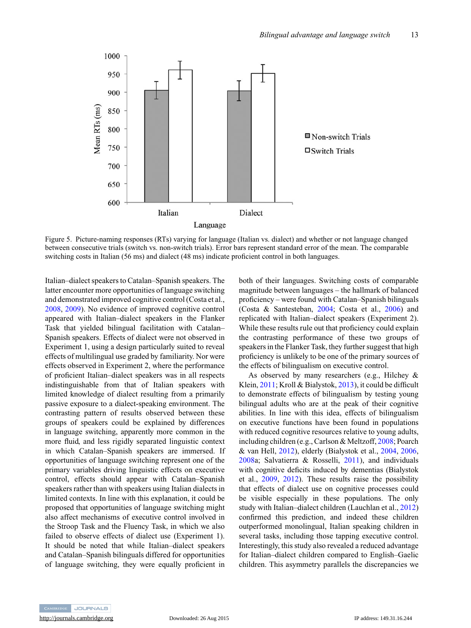<span id="page-13-0"></span>

Figure 5. Picture-naming responses (RTs) varying for language (Italian vs. dialect) and whether or not language changed between consecutive trials (switch vs. non-switch trials). Error bars represent standard error of the mean. The comparable switching costs in Italian (56 ms) and dialect (48 ms) indicate proficient control in both languages.

Italian–dialect speakers to Catalan–Spanish speakers. The latter encounter more opportunities of language switching and demonstrated improved cognitive control (Costa et al., [2008,](#page-16-0) [2009\)](#page-16-0). No evidence of improved cognitive control appeared with Italian–dialect speakers in the Flanker Task that yielded bilingual facilitation with Catalan– Spanish speakers. Effects of dialect were not observed in Experiment 1, using a design particularly suited to reveal effects of multilingual use graded by familiarity. Nor were effects observed in Experiment 2, where the performance of proficient Italian–dialect speakers was in all respects indistinguishable from that of Italian speakers with limited knowledge of dialect resulting from a primarily passive exposure to a dialect-speaking environment. The contrasting pattern of results observed between these groups of speakers could be explained by differences in language switching, apparently more common in the more fluid, and less rigidly separated linguistic context in which Catalan–Spanish speakers are immersed. If opportunities of language switching represent one of the primary variables driving linguistic effects on executive control, effects should appear with Catalan–Spanish speakers rather than with speakers using Italian dialects in limited contexts. In line with this explanation, it could be proposed that opportunities of language switching might also affect mechanisms of executive control involved in the Stroop Task and the Fluency Task, in which we also failed to observe effects of dialect use (Experiment 1). It should be noted that while Italian–dialect speakers and Catalan–Spanish bilinguals differed for opportunities of language switching, they were equally proficient in both of their languages. Switching costs of comparable magnitude between languages – the hallmark of balanced proficiency – were found with Catalan–Spanish bilinguals (Costa & Santesteban, [2004;](#page-16-0) Costa et al., [2006\)](#page-16-0) and replicated with Italian–dialect speakers (Experiment 2). While these results rule out that proficiency could explain the contrasting performance of these two groups of speakers in the Flanker Task, they further suggest that high proficiency is unlikely to be one of the primary sources of the effects of bilingualism on executive control.

As observed by many researchers (e.g., Hilchey & Klein, [2011;](#page-17-0) Kroll & Bialystok, [2013\)](#page-17-0), it could be difficult to demonstrate effects of bilingualism by testing young bilingual adults who are at the peak of their cognitive abilities. In line with this idea, effects of bilingualism on executive functions have been found in populations with reduced cognitive resources relative to young adults, including children (e.g., Carlson & Meltzoff, [2008;](#page-16-0) Poarch & van Hell, [2012\)](#page-17-0), elderly (Bialystok et al., [2004,](#page-16-0) [2006,](#page-16-0) [2008a](#page-16-0); Salvatierra & Rosselli, [2011\)](#page-18-0), and individuals with cognitive deficits induced by dementias (Bialystok et al., [2009,](#page-16-0) [2012\)](#page-16-0). These results raise the possibility that effects of dialect use on cognitive processes could be visible especially in these populations. The only study with Italian–dialect children (Lauchlan et al., [2012\)](#page-17-0) confirmed this prediction, and indeed these children outperformed monolingual, Italian speaking children in several tasks, including those tapping executive control. Interestingly, this study also revealed a reduced advantage for Italian–dialect children compared to English–Gaelic children. This asymmetry parallels the discrepancies we

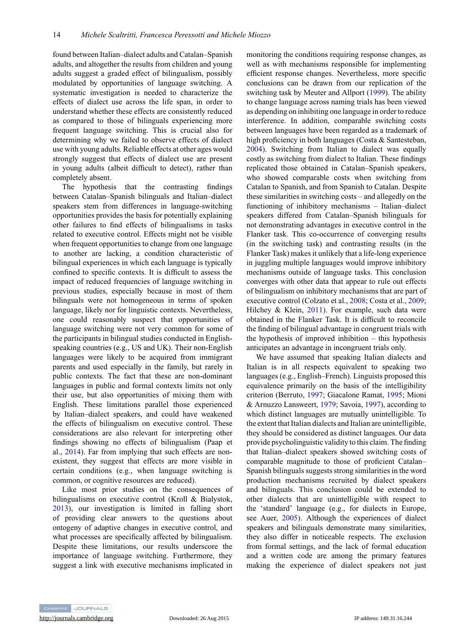found between Italian–dialect adults and Catalan–Spanish adults, and altogether the results from children and young adults suggest a graded effect of bilingualism, possibly modulated by opportunities of language switching. A systematic investigation is needed to characterize the effects of dialect use across the life span, in order to understand whether these effects are consistently reduced as compared to those of bilinguals experiencing more frequent language switching. This is crucial also for determining why we failed to observe effects of dialect use with young adults. Reliable effects at other ages would strongly suggest that effects of dialect use are present in young adults (albeit difficult to detect), rather than completely absent.

The hypothesis that the contrasting findings between Catalan–Spanish bilinguals and Italian–dialect speakers stem from differences in language-switching opportunities provides the basis for potentially explaining other failures to find effects of bilingualisms in tasks related to executive control. Effects might not be visible when frequent opportunities to change from one language to another are lacking, a condition characteristic of bilingual experiences in which each language is typically confined to specific contexts. It is difficult to assess the impact of reduced frequencies of language switching in previous studies, especially because in most of them bilinguals were not homogeneous in terms of spoken language, likely nor for linguistic contexts. Nevertheless, one could reasonably suspect that opportunities of language switching were not very common for some of the participants in bilingual studies conducted in Englishspeaking countries (e.g., US and UK). Their non-English languages were likely to be acquired from immigrant parents and used especially in the family, but rarely in public contexts. The fact that these are non-dominant languages in public and formal contexts limits not only their use, but also opportunities of mixing them with English. These limitations parallel those experienced by Italian–dialect speakers, and could have weakened the effects of bilingualism on executive control. These considerations are also relevant for interpreting other findings showing no effects of bilingualism (Paap et al., [2014\)](#page-17-0). Far from implying that such effects are nonexistent, they suggest that effects are more visible in certain conditions (e.g., when language switching is common, or cognitive resources are reduced).

Like most prior studies on the consequences of bilingualisms on executive control (Kroll & Bialystok, [2013\)](#page-17-0), our investigation is limited in falling short of providing clear answers to the questions about ontogeny of adaptive changes in executive control, and what processes are specifically affected by bilingualism. Despite these limitations, our results underscore the importance of language switching. Furthermore, they suggest a link with executive mechanisms implicated in

monitoring the conditions requiring response changes, as well as with mechanisms responsible for implementing efficient response changes. Nevertheless, more specific conclusions can be drawn from our replication of the switching task by Meuter and Allport [\(1999\)](#page-17-0). The ability to change language across naming trials has been viewed as depending on inhibiting one language in order to reduce interference. In addition, comparable switching costs between languages have been regarded as a trademark of high proficiency in both languages (Costa & Santesteban, [2004\)](#page-16-0). Switching from Italian to dialect was equally costly as switching from dialect to Italian. These findings replicated those obtained in Catalan–Spanish speakers, who showed comparable costs when switching from Catalan to Spanish, and from Spanish to Catalan. Despite these similarities in switching costs – and allegedly on the functioning of inhibitory mechanisms – Italian–dialect speakers differed from Catalan–Spanish bilinguals for not demonstrating advantages in executive control in the Flanker task. This co-occurrence of converging results (in the switching task) and contrasting results (in the Flanker Task) makes it unlikely that a life-long experience in juggling multiple languages would improve inhibitory mechanisms outside of language tasks. This conclusion converges with other data that appear to rule out effects of bilingualism on inhibitory mechanisms that are part of executive control (Colzato et al., [2008;](#page-16-0) Costa et al., [2009;](#page-16-0) Hilchey & Klein, [2011\)](#page-17-0). For example, such data were obtained in the Flanker Task. It is difficult to reconcile the finding of bilingual advantage in congruent trials with the hypothesis of improved inhibition – this hypothesis anticipates an advantage in incongruent trials only.

We have assumed that speaking Italian dialects and Italian is in all respects equivalent to speaking two languages (e.g., English–French). Linguists proposed this equivalence primarily on the basis of the intelligibility criterion (Berruto, [1997;](#page-16-0) Giacalone Ramat, [1995;](#page-17-0) Mioni & Arnuzzo Lansweert, [1979;](#page-17-0) Savoia, [1997\)](#page-18-0), according to which distinct languages are mutually unintelligible. To the extent that Italian dialects and Italian are unintelligible, they should be considered as distinct languages. Our data provide psycholinguistic validity to this claim. The finding that Italian–dialect speakers showed switching costs of comparable magnitude to those of proficient Catalan– Spanish bilinguals suggests strong similarities in the word production mechanisms recruited by dialect speakers and bilinguals. This conclusion could be extended to other dialects that are unintelligible with respect to the 'standard' language (e.g., for dialects in Europe, see Auer, [2005\)](#page-16-0). Although the experiences of dialect speakers and bilinguals demonstrate many similarities, they also differ in noticeable respects. The exclusion from formal settings, and the lack of formal education and a written code are among the primary features making the experience of dialect speakers not just

CAMBRIDGE JOURNALS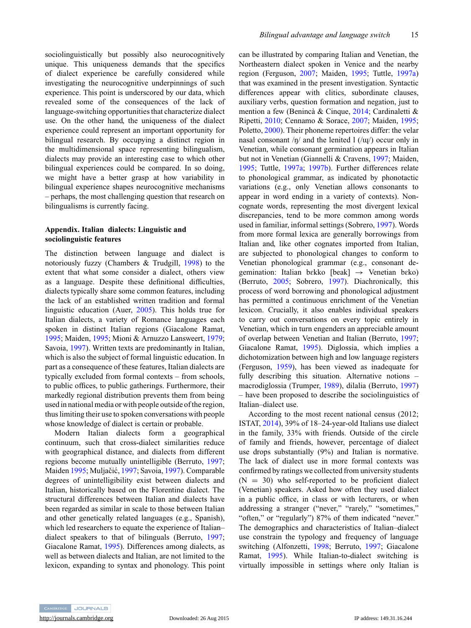sociolinguistically but possibly also neurocognitively unique. This uniqueness demands that the specifics of dialect experience be carefully considered while investigating the neurocognitive underpinnings of such experience. This point is underscored by our data, which revealed some of the consequences of the lack of language-switching opportunities that characterize dialect use. On the other hand, the uniqueness of the dialect experience could represent an important opportunity for bilingual research. By occupying a distinct region in the multidimensional space representing bilingualism, dialects may provide an interesting case to which other bilingual experiences could be compared. In so doing, we might have a better grasp at how variability in bilingual experience shapes neurocognitive mechanisms – perhaps, the most challenging question that research on bilingualisms is currently facing.

# **Appendix. Italian dialects: Linguistic and sociolinguistic features**

The distinction between language and dialect is notoriously fuzzy (Chambers & Trudgill, [1998\)](#page-16-0) to the extent that what some consider a dialect, others view as a language. Despite these definitional difficulties, dialects typically share some common features, including the lack of an established written tradition and formal linguistic education (Auer, [2005\)](#page-16-0). This holds true for Italian dialects, a variety of Romance languages each spoken in distinct Italian regions (Giacalone Ramat, [1995;](#page-17-0) Maiden, [1995;](#page-17-0) Mioni & Arnuzzo Lansweert, [1979;](#page-17-0) Savoia, [1997\)](#page-18-0). Written texts are predominantly in Italian, which is also the subject of formal linguistic education. In part as a consequence of these features, Italian dialects are typically excluded from formal contexts – from schools, to public offices, to public gatherings. Furthermore, their markedly regional distribution prevents them from being used in national media or with people outside of the region, thus limiting their use to spoken conversations with people whose knowledge of dialect is certain or probable.

Modern Italian dialects form a geographical continuum, such that cross-dialect similarities reduce with geographical distance, and dialects from different regions become mutually unintelligible (Berruto, [1997;](#page-16-0) Maiden [1995;](#page-17-0) Muljačić, [1997;](#page-17-0) Savoia, [1997\)](#page-18-0). Comparable degrees of unintelligibility exist between dialects and Italian, historically based on the Florentine dialect. The structural differences between Italian and dialects have been regarded as similar in scale to those between Italian and other genetically related languages (e.g., Spanish), which led researchers to equate the experience of Italian– dialect speakers to that of bilinguals (Berruto, [1997;](#page-16-0) Giacalone Ramat, [1995\)](#page-17-0). Differences among dialects, as well as between dialects and Italian, are not limited to the lexicon, expanding to syntax and phonology. This point can be illustrated by comparing Italian and Venetian, the Northeastern dialect spoken in Venice and the nearby region (Ferguson, [2007;](#page-17-0) Maiden, [1995;](#page-17-0) Tuttle, [1997a\)](#page-18-0) that was examined in the present investigation. Syntactic differences appear with clitics, subordinate clauses, auxiliary verbs, question formation and negation, just to mention a few (Benincà & Cinque, [2014;](#page-16-0) Cardinaletti & Ripetti, [2010;](#page-16-0) Cennamo & Sorace, [2007;](#page-16-0) Maiden, [1995;](#page-17-0) Poletto, [2000\)](#page-17-0). Their phoneme repertoires differ: the velar nasal consonant  $/n/$  and the lenited  $1/(n/$ ) occur only in Venetian, while consonant germination appears in Italian but not in Venetian (Giannelli & Cravens, [1997;](#page-17-0) Maiden, [1995;](#page-17-0) Tuttle, [1997a;](#page-18-0) [1997b\)](#page-18-0). Further differences relate to phonological grammar, as indicated by phonotactic variations (e.g., only Venetian allows consonants to appear in word ending in a variety of contexts). Noncognate words, representing the most divergent lexical discrepancies, tend to be more common among words used in familiar, informal settings (Sobrero, [1997\)](#page-18-0). Words from more formal lexica are generally borrowings from Italian and, like other cognates imported from Italian, are subjected to phonological changes to conform to Venetian phonological grammar (e.g., consonant degemination: Italian bɛkko [beak]  $\rightarrow$  Venetian bɛko) (Berruto, [2005;](#page-16-0) Sobrero, [1997\)](#page-18-0). Diachronically, this process of word borrowing and phonological adjustment has permitted a continuous enrichment of the Venetian lexicon. Crucially, it also enables individual speakers to carry out conversations on every topic entirely in Venetian, which in turn engenders an appreciable amount of overlap between Venetian and Italian (Berruto, [1997;](#page-16-0) Giacalone Ramat, [1995\)](#page-17-0). Diglossia, which implies a dichotomization between high and low language registers (Ferguson, [1959\)](#page-17-0), has been viewed as inadequate for fully describing this situation. Alternative notions – macrodiglossia (Trumper, [1989\)](#page-18-0), dilalia (Berruto, [1997\)](#page-16-0) – have been proposed to describe the sociolinguistics of Italian–dialect use.

According to the most recent national census (2012; ISTAT, [2014\)](#page-17-0), 39% of 18–24-year-old Italians use dialect in the family, 33% with friends. Outside of the circle of family and friends, however, percentage of dialect use drops substantially (9%) and Italian is normative. The lack of dialect use in more formal contexts was confirmed by ratings we collected from university students  $(N = 30)$  who self-reported to be proficient dialect (Venetian) speakers. Asked how often they used dialect in a public office, in class or with lecturers, or when addressing a stranger ("never," "rarely," "sometimes," "often," or "regularly") 87% of them indicated "never." The demographics and characteristics of Italian–dialect use constrain the typology and frequency of language switching (Alfonzetti, [1998;](#page-16-0) Berruto, [1997;](#page-16-0) Giacalone Ramat, [1995\)](#page-17-0). While Italian-to-dialect switching is virtually impossible in settings where only Italian is

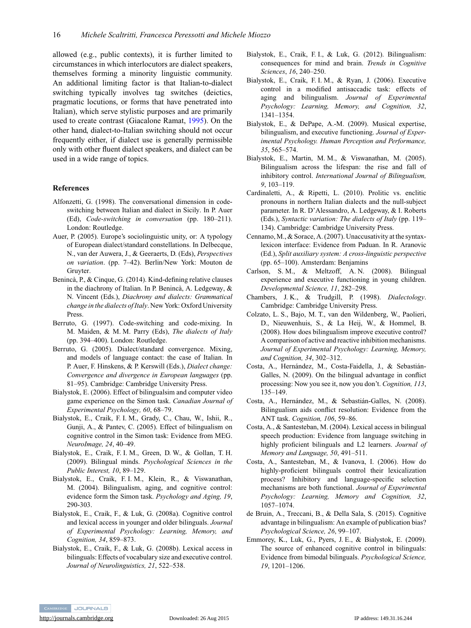<span id="page-16-0"></span>allowed (e.g., public contexts), it is further limited to circumstances in which interlocutors are dialect speakers, themselves forming a minority linguistic community. An additional limiting factor is that Italian-to-dialect switching typically involves tag switches (deictics, pragmatic locutions, or forms that have penetrated into Italian), which serve stylistic purposes and are primarily used to create contrast (Giacalone Ramat, [1995\)](#page-17-0). On the other hand, dialect-to-Italian switching should not occur frequently either, if dialect use is generally permissible only with other fluent dialect speakers, and dialect can be used in a wide range of topics.

## **References**

- Alfonzetti, G. (1998). The conversational dimension in codeswitching between Italian and dialect in Sicily. In P. Auer (Ed), *Code-switching in conversation* (pp. 180–211). London: Routledge.
- Auer, P. (2005). Europe's sociolinguistic unity, or: A typology of European dialect/standard constellations. In Delbecque, N., van der Auwera, J., & Geeraerts, D. (Eds), *Perspectives on variation*. (pp. 7–42). Berlin/New York: Mouton de Gruyter.
- Benincà, P., & Cinque, G. (2014). Kind-defining relative clauses in the diachrony of Italian. In P. Benincà, A. Ledgeway, & N. Vincent (Eds.), *Diachrony and dialects: Grammatical change in the dialects of Italy*. New York: Oxford University Press.
- Berruto, G. (1997). Code-switching and code-mixing. In M. Maiden, & M. M. Parry (Eds), *The dialects of Italy* (pp. 394–400). London: Routledge.
- Berruto, G. (2005). Dialect/standard convergence. Mixing, and models of language contact: the case of Italian. In P. Auer, F. Hinskens, & P. Kerswill (Eds.), *Dialect change: Convergence and divergence in European languages* (pp. 81–95). Cambridge: Cambridge University Press.
- Bialystok, E. (2006). Effect of bilingualsim and computer video game experience on the Simon task. *Canadian Journal of Experimental Psychology, 60*, 68–79.
- Bialystok, E., Craik, F. I. M., Grady, C., Chau, W., Ishii, R., Gunji, A., & Pantev, C. (2005). Effect of bilingualism on cognitive control in the Simon task: Evidence from MEG. *NeuroImage, 24*, 40–49.
- Bialystok, E., Craik, F. I. M., Green, D. W., & Gollan, T. H. (2009). Bilingual minds. *Psychological Sciences in the Public Interest, 10*, 89–129.
- Bialystok, E., Craik, F. I. M., Klein, R., & Viswanathan, M. (2004). Bilingualism, aging, and cognitive control: evidence form the Simon task. *Psychology and Aging, 19*, 290-303.
- Bialystok, E., Craik, F., & Luk, G. (2008a). Cognitive control and lexical access in younger and older bilinguals. *Journal of Experimental Psychology: Learning, Memory, and Cognition, 34*, 859–873.
- Bialystok, E., Craik, F., & Luk, G. (2008b). Lexical access in bilinguals: Effects of vocabulary size and executive control. *Journal of Neurolinguistics, 21*, 522–538.
- Bialystok, E., Craik, F. I., & Luk, G. (2012). Bilingualism: consequences for mind and brain. *Trends in Cognitive Sciences*, *16*, 240–250.
- Bialystok, E., Craik, F. I. M., & Ryan, J. (2006). Executive control in a modified antisaccadic task: effects of aging and bilingualism. *Journal of Experimental Psychology: Learning, Memory, and Cognition, 32*, 1341–1354.
- Bialystok, E., & DePape, A.-M. (2009). Musical expertise, bilingualism, and executive functioning. *Journal of Experimental Psychology. Human Perception and Performance, 35*, 565–574.
- Bialystok, E., Martin, M. M., & Viswanathan, M. (2005). Bilingualism across the lifespan: the rise and fall of inhibitory control. *International Journal of Bilingualism, 9*, 103–119.
- Cardinaletti, A., & Ripetti, L. (2010). Prolitic vs. enclitic pronouns in northern Italian dialects and the null-subject parameter. In R. D'Alessandro, A. Ledgeway, & I. Roberts (Eds.), *Syntactic variation: The dialects of Italy* (pp. 119– 134). Cambridge: Cambridge University Press.
- Cennamo, M., & Sorace, A. (2007). Unaccusativity at the syntaxlexicon interface: Evidence from Paduan. In R. Aranovic (Ed.), *Split auxiliary system: A cross-linguistic perspective* (pp. 65–100). Amsterdam: Benjamins
- Carlson, S. M., & Meltzoff, A. N. (2008). Bilingual experience and executive functioning in young children. *Developmental Science, 11*, 282–298.
- Chambers, J. K., & Trudgill, P. (1998). *Dialectology*. Cambridge: Cambridge University Press.
- Colzato, L. S., Bajo, M. T., van den Wildenberg, W., Paolieri, D., Nieuwenhuis, S., & La Heij, W., & Hommel, B. (2008). How does bilingualism improve executive control? A comparison of active and reactive inhibition mechanisms. *Journal of Experimental Psychology: Learning, Memory, and Cognition, 34*, 302–312.
- Costa, A., Hernández, M., Costa-Faidella, J., & Sebastián-Galles, N. (2009). On the bilingual advantage in conflict processing: Now you see it, now you don't. *Cognition, 113*, 135–149.
- Costa, A., Hernández, M., & Sebastián-Galles, N. (2008). Bilingualism aids conflict resolution: Evidence from the ANT task. *Cognition, 106*, 59–86.
- Costa, A., & Santesteban, M. (2004). Lexical access in bilingual speech production: Evidence from language switching in highly proficient bilinguals and L2 learners. *Journal of Memory and Language, 50*, 491–511.
- Costa, A., Santesteban, M., & Ivanova, I. (2006). How do highly-proficient bilinguals control their lexicalization process? Inhibitory and language-specific selection mechanisms are both functional. *Journal of Experimental Psychology: Learning, Memory and Cognition, 32*, 1057–1074.
- de Bruin, A., Treccani, B., & Della Sala, S. (2015). Cognitive advantage in bilingualism: An example of publication bias? *Psychological Science, 26*, 99–107.
- Emmorey, K., Luk, G., Pyers, J. E., & Bialystok, E. (2009). The source of enhanced cognitive control in bilinguals: Evidence from bimodal bilinguals. *Psychological Science, 19*, 1201–1206.



<http://journals.cambridge.org> Downloaded: 26 Aug 2015 IP address: 149.31.16.244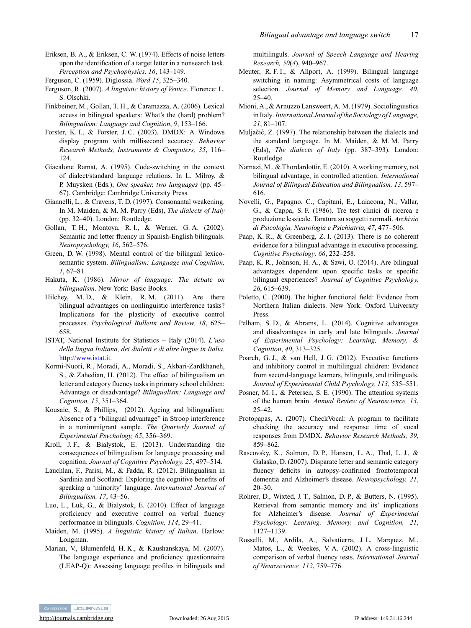<span id="page-17-0"></span>Eriksen, B. A., & Eriksen, C. W. (1974). Effects of noise letters upon the identification of a target letter in a nonsearch task. *Perception and Psychophysics, 16*, 143–149.

- Ferguson, R. (2007). *A linguistic history of Venice*. Florence: L. S. Olschki.
- Finkbeiner, M., Gollan, T. H., & Caramazza, A. (2006). Lexical access in bilingual speakers: What's the (hard) problem? *Bilingualism: Language and Cognition*, *9*, 153–166.
- Forster, K. I., & Forster, J. C. (2003). DMDX: A Windows display program with millisecond accuracy. *Behavior Research Methods, Instruments & Computers, 35*, 116– 124.
- Giacalone Ramat, A. (1995). Code-switching in the context of dialect/standard language relations. In L. Milroy, & P. Muysken (Eds.), *One speaker, two languages* (pp. 45– 67). Cambridge: Cambridge University Press.
- Giannelli, L., & Cravens, T. D. (1997). Consonantal weakening. In M. Maiden, & M. M. Parry (Eds), *The dialects of Italy* (pp. 32–40). London: Routledge.
- Gollan, T. H., Montoya, R. I., & Werner, G. A. (2002). Semantic and letter fluency in Spanish-English bilinguals. *Neuropsychology, 16*, 562–576.
- Green, D. W. (1998). Mental control of the bilingual lexicosemantic system. *Bilingualism: Language and Cognition, 1*, 67–81.
- Hakuta, K. (1986). *Mirror of language: The debate on bilingualism*. New York: Basic Books.
- Hilchey, M. D., & Klein, R. M. (2011). Are there bilingual advantages on nonlinguistic interference tasks? Implications for the plasticity of executive control processes. *Psychological Bulletin and Review, 18*, 625– 658.
- ISTAT, National Institute for Statistics Italy (2014). *L'uso della lingua Italiana, dei dialetti e di altre lingue in Italia*. [http://www.istat.it.](http://www.istat.it)
- Kormi-Nuori, R., Moradi, A., Moradi, S., Akbari-Zardkhaneh, S., & Zahedian, H. (2012). The effect of bilingualism on letter and category fluency tasks in primary school children: Advantage or disadvantage? *Bilingualism: Language and Cognition, 15*, 351–364.
- Kousaie, S., & Phillips, (2012). Ageing and bilingualism: Absence of a "bilingual advantage" in Stroop interference in a nonimmigrant sample. *The Quarterly Journal of Experimental Psychology, 65*, 356–369.
- Kroll, J. F., & Bialystok, E. (2013). Understanding the consequences of bilingualism for language processing and cognition. *Journal of Cognitive Psychology, 25*, 497–514.
- Lauchlan, F., Parisi, M., & Fadda, R. (2012). Bilingualism in Sardinia and Scotland: Exploring the cognitive benefits of speaking a 'minority' language. *International Journal of Bilingualism, 17*, 43–56.
- Luo, L., Luk, G., & Bialystok, E. (2010). Effect of language proficiency and executive control on verbal fluency performance in bilinguals. *Cognition, 114*, 29–41.
- Maiden, M. (1995). *A linguistic history of Italian*. Harlow: Longman.
- Marian, V., Blumenfeld, H. K., & Kaushanskaya, M. (2007). The language experience and proficiency questionnaire (LEAP-Q): Assessing language profiles in bilinguals and

multilinguls. *Journal of Speech Language and Hearing Research, 50*(*4*), 940–967.

- Meuter, R. F. I., & Allport, A. (1999). Bilingual language switching in naming: Asymmetrical costs of language selection. *Journal of Memory and Language, 40*, 25–40.
- Mioni, A., & Arnuzzo Lansweert, A. M. (1979). Sociolinguistics in Italy.*International Journal of the Sociology of Language, 21*, 81–107.
- Muljačić, Z. (1997). The relationship between the dialects and the standard language. In M. Maiden, & M. M. Parry (Eds), *The dialects of Italy* (pp. 387–393). London: Routledge.
- Namazi, M., & Thordardottir, E. (2010). A working memory, not bilingual advantage, in controlled attention. *International Journal of Bilingual Education and Bilingualism, 13*, 597– 616.
- Novelli, G., Papagno, C., Capitani, E., Laiacona, N., Vallar, G., & Cappa, S. F. (1986). Tre test clinici di ricerca e produzione lessicale. Taratura su soggetti normali. *Archivio di Psicologia, Neurologia e Psichiatria, 47*, 477–506.
- Paap, K. R., & Greenberg, Z. I. (2013). There is no coherent evidence for a bilingual advantage in executive processing. *Cognitive Psychology, 66*, 232–258.
- Paap, K. R., Johnson, H. A., & Sawi, O. (2014). Are bilingual advantages dependent upon specific tasks or specific bilingual experiences? *Journal of Cognitive Psychology, 26*, 615–639.
- Poletto, C. (2000). The higher functional field: Evidence from Northern Italian dialects. New York: Oxford University Press.
- Pelham, S. D., & Abrams, L. (2014). Cognitive advantages and disadvantages in early and late bilinguals. *Journal of Experimental Psychology: Learning, Memory, & Cognition*, *40*, 313–325.
- Poarch, G. J., & van Hell, J. G. (2012). Executive functions and inhibitory control in multilingual children: Evidence from second-language learners, bilinguals, and trilinguals. *Journal of Experimental Child Psychology, 113*, 535–551.
- Posner, M. I., & Petersen, S. E. (1990). The attention systems of the human brain. *Annual Review of Neuroscience, 13*, 25–42.
- Protopapas, A. (2007). CheckVocal: A program to facilitate checking the accuracy and response time of vocal responses from DMDX. *Behavior Research Methods, 39*, 859–862.
- Rascovsky, K., Salmon, D. P., Hansen, L. A., Thal, L. J., & Galasko, D. (2007). Disparate letter and semantic category fluency deficits in autopsy-confirmed frontotemporal dementia and Alzheimer's disease. *Neuropsychology, 21*, 20–30.
- Rohrer, D., Wixted, J. T., Salmon, D. P., & Butters, N. (1995). Retrieval from semantic memory and its' implications for Alzheimer's disease. *Journal of Experimental Psychology: Learning, Memory, and Cognition, 21*, 1127–1139.
- Rosselli, M., Ardila, A., Salvatierra, J. L, Marquez, M., Matos, L., & Weekes, V. A. (2002). A cross-linguistic comparison of verbal fluency tests. *International Journal of Neuroscience, 112*, 759–776.



<http://journals.cambridge.org> Downloaded: 26 Aug 2015 IP address: 149.31.16.244

Ferguson, C. (1959). Diglossia. *Word 15*, 325–340.